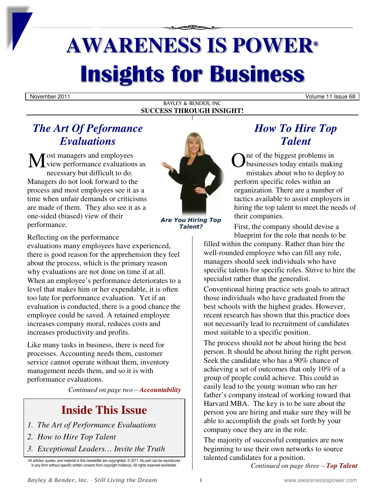# **AWARENESS IS POWER® Insights for Business**

November 2011 **Volume 11 Issue 68** 

BAYLEY & BENDER, INC **SUCCESS THROUGH INSIGHT!**

### *The Art Of Peformance Evaluations*

ost managers and employees view performance evaluations as M O necessary but difficult to do. Managers do not look forward to the process and most employees see it as a time when unfair demands or criticisms are made of them. They also see it as a one-sided (biased) view of their performance.



*Are You Hiring Top Talent?* 

Reflecting on the performance

evaluations many employees have experienced, there is good reason for the apprehension they feel about the process, which is the primary reason why evaluations are not done on time if at all. When an employee's performance deteriorates to a level that makes him or her expendable, it is often too late for performance evaluation. Yet if an evaluation is conducted, there is a good chance the employee could be saved. A retained employee increases company moral, reduces costs and increases productivity and profits.

Like many tasks in business, there is need for processes. Accounting needs them, customer service cannot operate without them, inventory management needs them, and so it is with performance evaluations.

*Continued on page two – Accountability* 

### **Inside This Issue**

- *1. The Art of Performance Evaluations*
- *2. How to Hire Top Talent*
- *3. Exceptional Leaders… Invite the Truth*

All articles, quotes, and material in this newsletter are copyrighted. © 2011. No part can be reproduced in any form without specific written consent from copyright holder(s). All rights reserved worldwide.

### *How To Hire Top Talent*

ne of the biggest problems in businesses today entails making mistakes about who to deploy to perform specific roles within an organization. There are a number of tactics available to assist employers in hiring the top talent to meet the needs of their companies.

First, the company should devise a blueprint for the role that needs to be

filled within the company. Rather than hire the well-rounded employee who can fill any role, managers should seek individuals who have specific talents for specific roles. Strive to hire the specialist rather than the generalist.

Conventional hiring practice sets goals to attract those individuals who have graduated from the best schools with the highest grades. However, recent research has shown that this practice does not necessarily lead to recruitment of candidates most suitable to a specific position.

The process should not be about hiring the best person. It should be about hiring the right person. Seek the candidate who has a 90% chance of achieving a set of outcomes that only 10% of a group of people could achieve. This could as easily lead to the young woman who ran her father's company instead of working toward that Harvard MBA. The key is to be sure about the person you are hiring and make sure they will be able to accomplish the goals set forth by your company once they are in the role.

The majority of successful companies are now beginning to use their own networks to source talented candidates for a position.

*Continued on page three – Top Talent*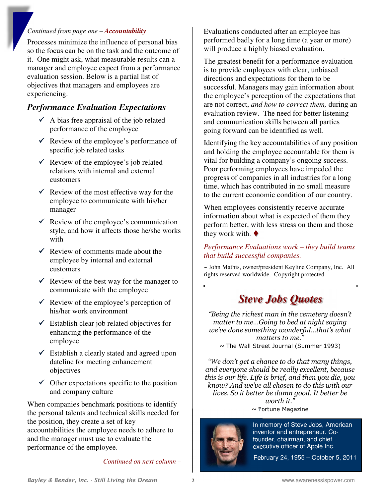#### *Continued from page one – Accountability*

Processes minimize the influence of personal bias so the focus can be on the task and the outcome of it. One might ask, what measurable results can a manager and employee expect from a performance evaluation session. Below is a partial list of objectives that managers and employees are experiencing.

### *Performance Evaluation Expectations*

- $\triangleleft$  A bias free appraisal of the job related performance of the employee
- $\checkmark$  Review of the employee's performance of specific job related tasks
- $\checkmark$  Review of the employee's job related relations with internal and external customers
- $\checkmark$  Review of the most effective way for the employee to communicate with his/her manager
- $\checkmark$  Review of the employee's communication style, and how it affects those he/she works with
- $\checkmark$  Review of comments made about the employee by internal and external customers
- $\checkmark$  Review of the best way for the manager to communicate with the employee
- $\checkmark$  Review of the employee's perception of his/her work environment
- $\checkmark$  Establish clear job related objectives for enhancing the performance of the employee
- $\checkmark$  Establish a clearly stated and agreed upon dateline for meeting enhancement objectives
- $\checkmark$  Other expectations specific to the position and company culture

When companies benchmark positions to identify the personal talents and technical skills needed for the position, they create a set of key accountabilities the employee needs to adhere to and the manager must use to evaluate the performance of the employee.

*Continued on next column –* 

Evaluations conducted after an employee has performed badly for a long time (a year or more) will produce a highly biased evaluation.

The greatest benefit for a performance evaluation is to provide employees with clear, unbiased directions and expectations for them to be successful. Managers may gain information about the employee's perception of the expectations that are not correct, *and how to correct them,* during an evaluation review. The need for better listening and communication skills between all parties going forward can be identified as well.

Identifying the key accountabilities of any position and holding the employee accountable for them is vital for building a company's ongoing success. Poor performing employees have impeded the progress of companies in all industries for a long time, which has contributed in no small measure to the current economic condition of our country.

When employees consistently receive accurate information about what is expected of them they perform better, with less stress on them and those they work with.  $\blacklozenge$ 

### *Performance Evaluations work – they build teams that build successful companies.*

~ John Mathis, owner/president Keyline Company, Inc. All rights reserved worldwide. Copyright protected

### *Steve Jobs Quotes*

*"Being the richest man in the cemetery doesn't matter to me…Going to bed at night saying we've done something wonderful…that's what matters to me."*   $\sim$  The Wall Street Journal (Summer 1993)

*"We don't get a chance to do that many things, and everyone should be really excellent, because this is our life. Life is brief, and then you die, you know? And we've all chosen to do this with our lives. So it better be damn good. It better be worth it."*   $\sim$  Fortune Magazine





 In memory of Steve Jobs, American inventor and entrepreneur. Co founder, chairman, and chief executive officer of Apple Inc.

February 24, 1955 – October 5, 2011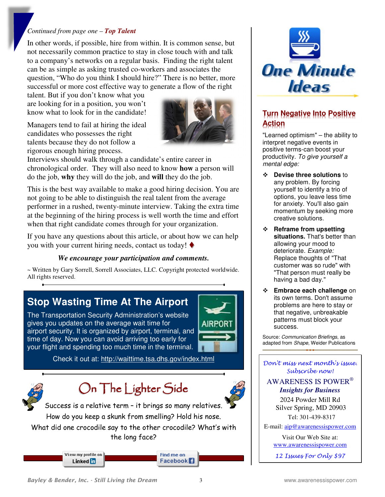#### *Continued from page one – Top Talent*

In other words, if possible, hire from within. It is common sense, but not necessarily common practice to stay in close touch with and talk to a company's networks on a regular basis. Finding the right talent can be as simple as asking trusted co-workers and associates the question, "Who do you think I should hire?" There is no better, more successful or more cost effective way to generate a flow of the right

talent. But if you don't know what you are looking for in a position, you won't know what to look for in the candidate!

Managers tend to fail at hiring the ideal candidates who possesses the right talents because they do not follow a rigorous enough hiring process.



Interviews should walk through a candidate's entire career in chronological order. They will also need to know **how** a person will do the job, **why** they will do the job, and **will** they do the job.

This is the best way available to make a good hiring decision. You are not going to be able to distinguish the real talent from the average performer in a rushed, twenty-minute interview. Taking the extra time at the beginning of the hiring process is well worth the time and effort when that right candidate comes through for your organization.

If you have any questions about this article, or about how we can help you with your current hiring needs, contact us today!  $\blacklozenge$ 

#### *We encourage your participation and comments.*

~ Written by Gary Sorrell, Sorrell Associates, LLC. Copyright protected worldwide. All rights reserved.

### **Stop Wasting Time At The Airport**

The Transportation Security Administration's website gives you updates on the average wait time for airport security. It is organized by airport, terminal, and time of day. Now you can avoid arriving too early for your flight and spending too much time in the terminal.



Check it out at: http://waittime.tsa.dhs.gov/index.html



## On The Lighter Side



Success is a relative term – it brings so many relatives. How do you keep a skunk from smelling? Hold his nose.

What did one crocodile say to the other crocodile? What's with the long face?

> View my profile on Linked m

Find me on Facebook<sup>1</sup>



### **Turn Negative Into Positive Action**

"Learned optimism" – the ability to interpret negative events in positive terms-can boost your productivity. To give yourself a mental edge:

- **Devise three solutions** to any problem. By forcing yourself to identify a trio of options, you leave less time for anxiety. You'll also gain momentum by seeking more creative solutions.
- **Reframe from upsetting situations.** That's better than allowing your mood to deteriorate. Example: Replace thoughts of "That customer was so rude" with "That person must really be having a bad day."
- **Embrace each challenge** on its own terms. Don't assume problems are here to stay or that negative, unbreakable patterns must block your success.

Source: Communication Briefings, as adapted from Shape, Weider Publications

#### Don't miss next month's issue. Subscribe now!

AWARENESS IS POWER®  *Insights for Business* 

> 2024 Powder Mill Rd Silver Spring, MD 20903 Tel: 301-439-8317

E-mail: aip@awarenessispower.com

Visit Our Web Site at: www.awarenessispower.com

12 Issues For Only \$97